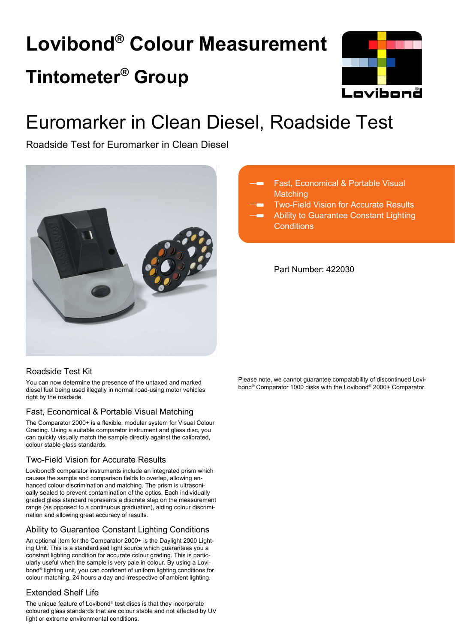# **Lovibond® Colour Measurement Tintometer® Group**



## Euromarker in Clean Diesel, Roadside Test

Roadside Test for Euromarker in Clean Diesel



### Fast, Economical & Portable Visual **Matching**

Two-Field Vision for Accurate Results Ability to Guarantee Constant Lighting **Conditions** 

Part Number: 422030

### Roadside Test Kit

You can now determine the presence of the untaxed and marked diesel fuel being used illegally in normal road-using motor vehicles right by the roadside.

### Fast, Economical & Portable Visual Matching

The Comparator 2000+ is a flexible, modular system for Visual Colour Grading. Using a suitable comparator instrument and glass disc, you can quickly visually match the sample directly against the calibrated, colour stable glass standards.

### Two-Field Vision for Accurate Results

Lovibond® comparator instruments include an integrated prism which causes the sample and comparison fields to overlap, allowing enhanced colour discrimination and matching. The prism is ultrasonically sealed to prevent contamination of the optics. Each individually graded glass standard represents a discrete step on the measurement range (as opposed to a continuous graduation), aiding colour discrimination and allowing great accuracy of results.

### Ability to Guarantee Constant Lighting Conditions

An optional item for the Comparator 2000+ is the Daylight 2000 Lighting Unit. This is a standardised light source which guarantees you a constant lighting condition for accurate colour grading. This is particularly useful when the sample is very pale in colour. By using a Lovibond® lighting unit, you can confident of uniform lighting conditions for colour matching, 24 hours a day and irrespective of ambient lighting.

### Extended Shelf Life

The unique feature of Lovibond® test discs is that they incorporate coloured glass standards that are colour stable and not affected by UV light or extreme environmental conditions.

Please note, we cannot guarantee compatability of discontinued Lovibond® Comparator 1000 disks with the Lovibond® 2000+ Comparator.